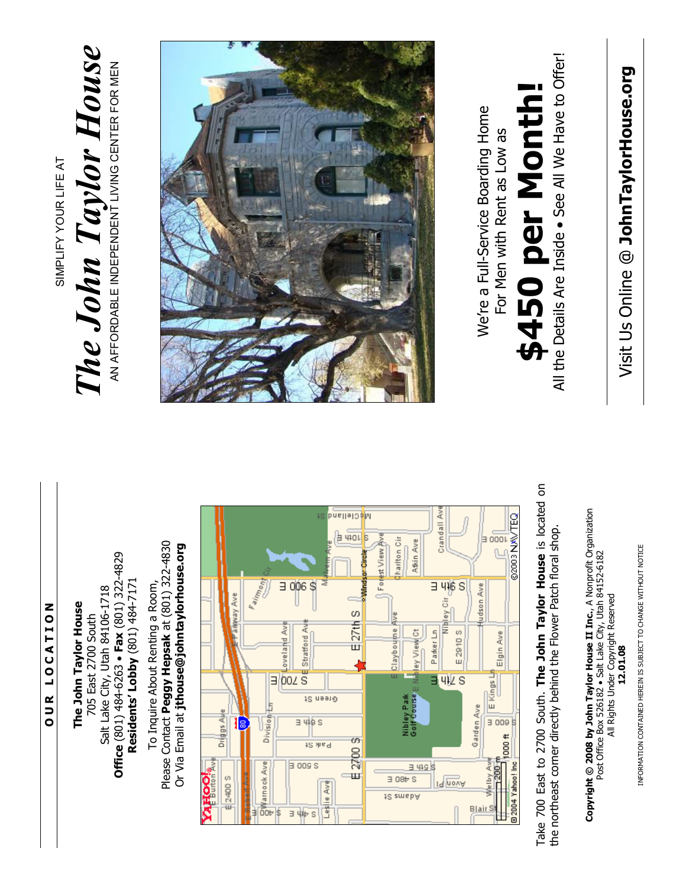## O U R L O C A T I O N OUR LOCATION

SIMPLIFY YOUR LIFE AT

SIMPLIFY YOUR LIFE AT

The John Taylor House

The John Taylor House

AN AFFORDABLE INDEPENDENT LIVING CENTER FOR MEN

AN AFFORDABLE INDEPENDENT LIVING CENTER FOR MEN

Office  $(801)$  484-6263 • Fax  $(801)$  322-4829 **Office**  $(801)$  484-6263 • Fax  $(801)$  322-4829 Residents' Lobby (801) 484-7171 Residents' Lobby (801) 484-7171 Salt Lake City, Utah 84106-1718 Salt Lake City, Utah 84106-1718 The John Taylor House The John Taylor House 705 East 2700 South 705 East 2700 South

Please Contact Peggy Hepsak at (801) 322-4830 Please Contact Peggy Hepsak at (801) 322-4830 Or Via Email at jthouse@johntaylorhouse.org Or Via Email at jthouse@johntaylorhouse.org To Inquire About Renting a Room, To Inquire About Renting a Room,



Take 700 East to 2700 South. The John Taylor House is located on Take 700 East to 2700 South. The John Taylor House is located on the northeast corner directly behind the Flower Patch floral shop. the northeast corner directly behind the Flower Patch floral shop.

Copyright ⓒ 2008 by John Taylor House II Inc., A Nonprofit Organization Copyright © 2008 by John Taylor House II Inc., A Nonprofit Organization<br>Post Office Box 526182 • Salt Lake City, Utah 84152-6182 Post Office Box 526182 • Salt Lake City, Utah 84152-6182 All Rights Under Copyright Reserved All Rights Under Copyright Reserved 12.01.08

Visit Us Online @ JohnTaylorHouse.org Visit Us Online @ JohnTaylorHouse.org

All the Details Are Inside • See All We Have to Offer! All the Details Are Inside . See All We Have to Offer!

## \$450 per Month! \$450 per Month

We're a Full-Service Boarding Home We're a Full-Service Boarding Home For Men with Rent as Low as For Men with Rent as Low as



INFORMATION CONTAINED HEREIN IS SUBJECT TO CHANGE WITHOUT NOTICE INFORMATION CONTAINED HEREIN IS SUBJECT TO CHANGE WITHOUT NOTICE